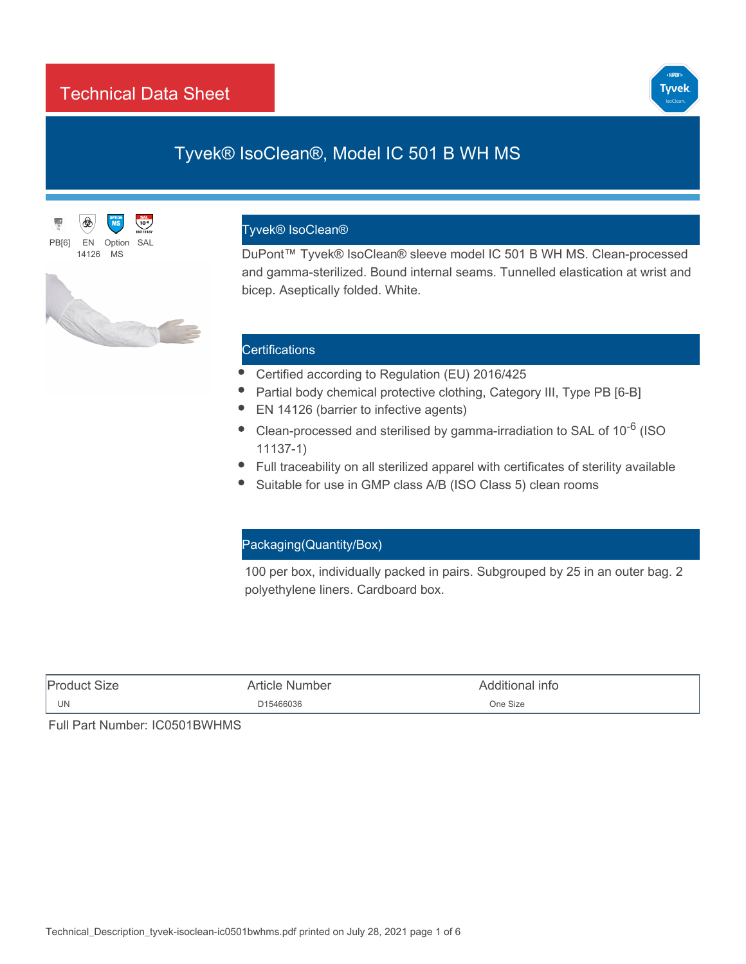## Technical Data Sheet



# Tyvek® IsoClean®, Model IC 501 B WH MS





#### Tyvek® IsoClean®

DuPont™ Tyvek® IsoClean® sleeve model IC 501 B WH MS. Clean-processed and gamma-sterilized. Bound internal seams. Tunnelled elastication at wrist and bicep. Aseptically folded. White.

## **Certifications**

- Certified according to Regulation (EU) 2016/425
- Partial body chemical protective clothing, Category III, Type PB [6-B]
- EN 14126 (barrier to infective agents)
- Clean-processed and sterilised by gamma-irradiation to SAL of 10<sup>-6</sup> (ISO 11137-1)
- Full traceability on all sterilized apparel with [certificates of sterility](http://www2.dupont.com/cos/usrContact.do) available
- Suitable for use in GMP class A/B (ISO Class 5) clean rooms

## Packaging(Quantity/Box)

100 per box, individually packed in pairs. Subgrouped by 25 in an outer bag. 2 polyethylene liners. Cardboard box.

| <b>Product</b> | Number         | 'ditional info |
|----------------|----------------|----------------|
| Size           | Article        | וזוחר          |
| UN             | D15466036<br>. | One Size<br>.  |

Full Part Number: IC0501BWHMS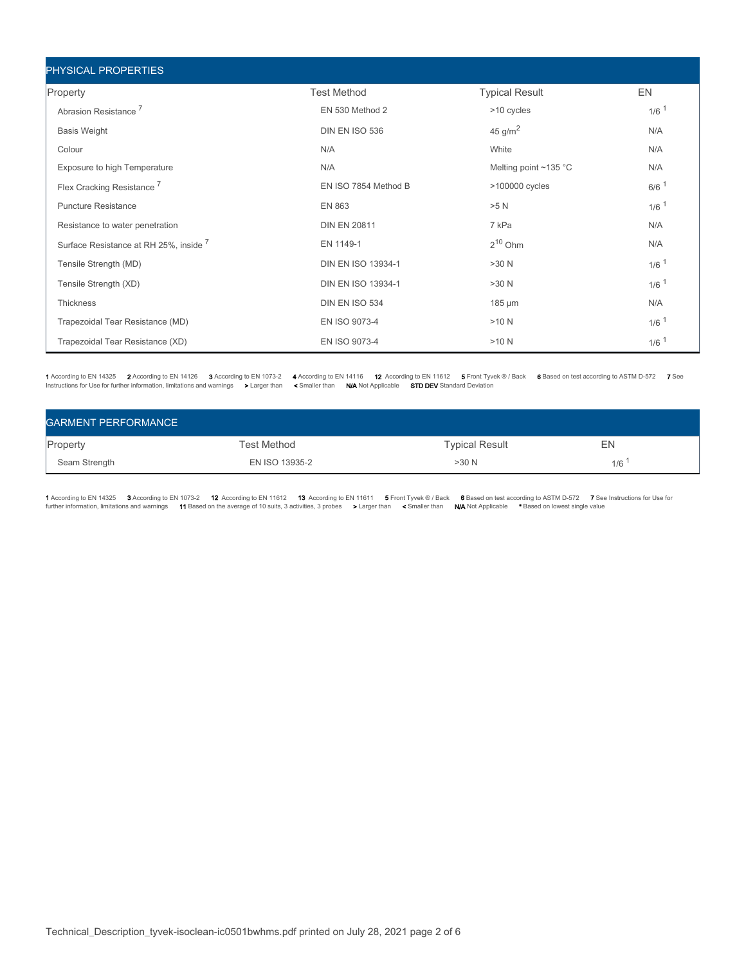| PHYSICAL PROPERTIES                    |                      |                             |                    |
|----------------------------------------|----------------------|-----------------------------|--------------------|
| Property                               | <b>Test Method</b>   | <b>Typical Result</b>       | EN                 |
| Abrasion Resistance <sup>7</sup>       | EN 530 Method 2      | >10 cycles                  | $1/6$ <sup>1</sup> |
| <b>Basis Weight</b>                    | DIN EN ISO 536       | 45 g/m <sup>2</sup>         | N/A                |
| Colour                                 | N/A                  | White                       | N/A                |
| Exposure to high Temperature           | N/A                  | Melting point $\sim$ 135 °C | N/A                |
| Flex Cracking Resistance <sup>7</sup>  | EN ISO 7854 Method B | >100000 cycles              | $6/6$ <sup>1</sup> |
| <b>Puncture Resistance</b>             | <b>EN 863</b>        | >5 N                        | $1/6$ <sup>1</sup> |
| Resistance to water penetration        | <b>DIN EN 20811</b>  | 7 kPa                       | N/A                |
| Surface Resistance at RH 25%, inside 7 | EN 1149-1            | $2^{10}$ Ohm                | N/A                |
| Tensile Strength (MD)                  | DIN EN ISO 13934-1   | >30 N                       | $1/6$ <sup>1</sup> |
| Tensile Strength (XD)                  | DIN EN ISO 13934-1   | >30 N                       | $1/6$ <sup>1</sup> |
| <b>Thickness</b>                       | DIN EN ISO 534       | 185 µm                      | N/A                |
| Trapezoidal Tear Resistance (MD)       | EN ISO 9073-4        | >10 N                       | $1/6$ <sup>1</sup> |
| Trapezoidal Tear Resistance (XD)       | EN ISO 9073-4        | >10 N                       | $1/6$ <sup>1</sup> |

1 According to EN 14325 2 According to EN 14126 3 According to EN 1073-2 4 According to EN 14116 12 According to EN 11612 5 Front Tyvek ® / Back 6 Based on test according to ASTM D-572 7 See<br>Instructions for Use for furth

| <b>GARMENT PERFORMANCE</b> |                |                       |     |  |  |  |
|----------------------------|----------------|-----------------------|-----|--|--|--|
| Property                   | Test Method    | <b>Typical Result</b> | EN  |  |  |  |
| Seam Strength              | EN ISO 13935-2 | >30 N                 | 1/6 |  |  |  |

1 According to EN 14325 3 According to EN 1073-2 12 According to EN 11612 13 According to EN 11611 5 Front Tyvek ® / Based on test according to ASTM D-572 7 See Instructions for Use for<br>further information, limitations and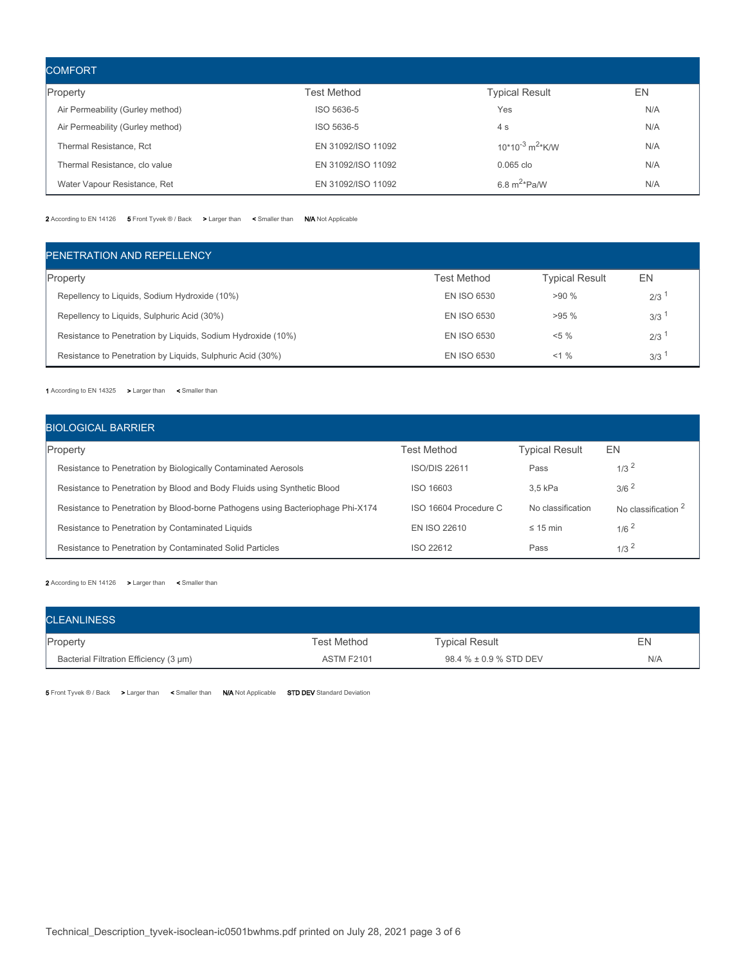| <b>COMFORT</b>                   |                    |                                  |     |  |  |  |  |
|----------------------------------|--------------------|----------------------------------|-----|--|--|--|--|
| Property                         | Test Method        | <b>Typical Result</b>            | EN  |  |  |  |  |
| Air Permeability (Gurley method) | ISO 5636-5         | Yes                              | N/A |  |  |  |  |
| Air Permeability (Gurley method) | ISO 5636-5         | 4s                               | N/A |  |  |  |  |
| Thermal Resistance, Rct          | EN 31092/ISO 11092 | $10*10^{-3}$ m <sup>2</sup> *K/W | N/A |  |  |  |  |
| Thermal Resistance, clo value    | EN 31092/ISO 11092 | $0.065$ clo                      | N/A |  |  |  |  |
| Water Vapour Resistance, Ret     | EN 31092/ISO 11092 | 6.8 $m^{2*}$ Pa/W                | N/A |  |  |  |  |

2 According to EN 14126 5 Front Tyvek ® / Back > Larger than < Smaller than N/A Not Applicable

| PENETRATION AND REPELLENCY                                   |             |                       |     |
|--------------------------------------------------------------|-------------|-----------------------|-----|
| Property                                                     | Test Method | <b>Typical Result</b> | EN  |
| Repellency to Liquids, Sodium Hydroxide (10%)                | EN ISO 6530 | $>90\%$               | 2/3 |
| Repellency to Liquids, Sulphuric Acid (30%)                  | EN ISO 6530 | $>95\%$               | 3/3 |
| Resistance to Penetration by Liquids, Sodium Hydroxide (10%) | EN ISO 6530 | $< 5 \%$              | 2/3 |
| Resistance to Penetration by Liquids, Sulphuric Acid (30%)   | EN ISO 6530 | $<1\%$                | 3/3 |

1 According to EN 14325 > Larger than < Smaller than

| <b>BIOLOGICAL BARRIER</b>                                                       |                       |                       |                                |
|---------------------------------------------------------------------------------|-----------------------|-----------------------|--------------------------------|
| Property                                                                        | <b>Test Method</b>    | <b>Typical Result</b> | EN                             |
| Resistance to Penetration by Biologically Contaminated Aerosols                 | <b>ISO/DIS 22611</b>  | Pass                  | $1/3^2$                        |
| Resistance to Penetration by Blood and Body Fluids using Synthetic Blood        | ISO 16603             | 3.5 kPa               | $3/6^2$                        |
| Resistance to Penetration by Blood-borne Pathogens using Bacteriophage Phi-X174 | ISO 16604 Procedure C | No classification     | No classification <sup>2</sup> |
| Resistance to Penetration by Contaminated Liquids                               | EN ISO 22610          | $\leq$ 15 min         | $1/6^2$                        |
| Resistance to Penetration by Contaminated Solid Particles                       | ISO 22612             | Pass                  | $1/3^2$                        |

2 According to EN 14126 > Larger than < Smaller than

| <b>CLEANLINESS</b>                     |                   |                        |     |
|----------------------------------------|-------------------|------------------------|-----|
| Property                               | Test Method       | <b>Typical Result</b>  | EN  |
| Bacterial Filtration Efficiency (3 µm) | <b>ASTM F2101</b> | 98.4 % ± 0.9 % STD DEV | N/A |

5 Front Tyvek ® / Back > Larger than < Smaller than N/A Not Applicable STD DEV Standard Deviation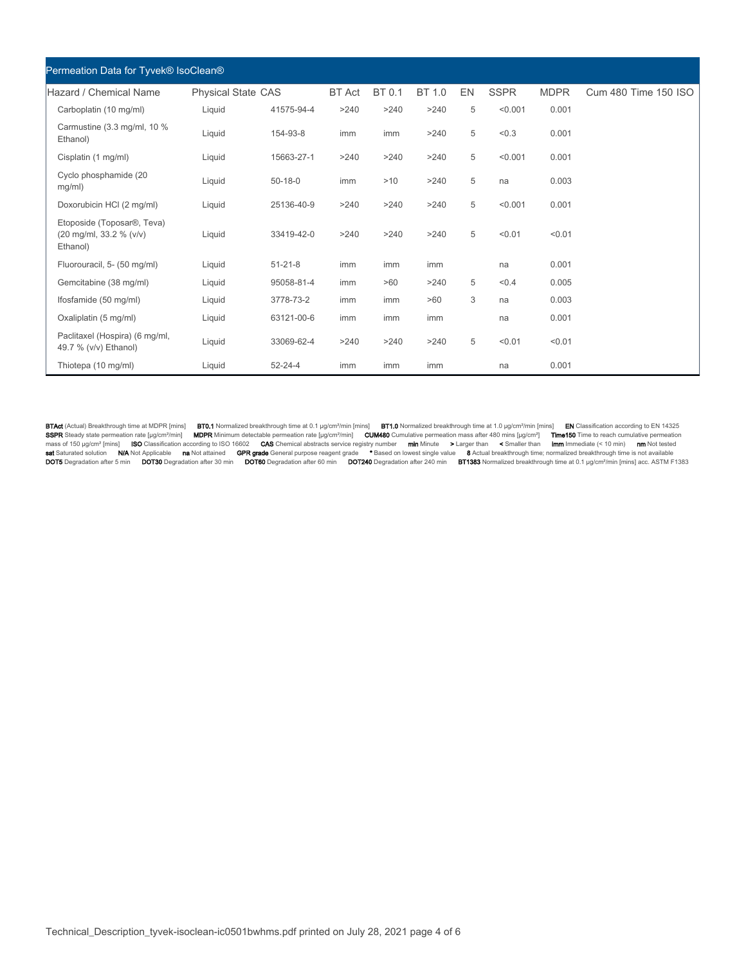| Permeation Data for Tyvek® IsoClean®                                           |                           |               |               |        |        |    |             |             |                      |
|--------------------------------------------------------------------------------|---------------------------|---------------|---------------|--------|--------|----|-------------|-------------|----------------------|
| Hazard / Chemical Name                                                         | <b>Physical State CAS</b> |               | <b>BT</b> Act | BT 0.1 | BT 1.0 | EN | <b>SSPR</b> | <b>MDPR</b> | Cum 480 Time 150 ISO |
| Carboplatin (10 mg/ml)                                                         | Liquid                    | 41575-94-4    | >240          | >240   | >240   | 5  | < 0.001     | 0.001       |                      |
| Carmustine (3.3 mg/ml, 10 %<br>Ethanol)                                        | Liquid                    | 154-93-8      | imm           | imm    | >240   | 5  | < 0.3       | 0.001       |                      |
| Cisplatin (1 mg/ml)                                                            | Liquid                    | 15663-27-1    | >240          | >240   | >240   | 5  | < 0.001     | 0.001       |                      |
| Cyclo phosphamide (20<br>mg/ml)                                                | Liquid                    | $50 - 18 - 0$ | imm           | >10    | >240   | 5  | na          | 0.003       |                      |
| Doxorubicin HCI (2 mg/ml)                                                      | Liquid                    | 25136-40-9    | >240          | >240   | >240   | 5  | < 0.001     | 0.001       |                      |
| Etoposide (Toposar <sup>®</sup> , Teva)<br>(20 mg/ml, 33.2 % (v/v)<br>Ethanol) | Liquid                    | 33419-42-0    | >240          | >240   | >240   | 5  | < 0.01      | < 0.01      |                      |
| Fluorouracil, 5- (50 mg/ml)                                                    | Liquid                    | $51 - 21 - 8$ | imm           | imm    | imm    |    | na          | 0.001       |                      |
| Gemcitabine (38 mg/ml)                                                         | Liquid                    | 95058-81-4    | imm           | >60    | >240   | 5  | < 0.4       | 0.005       |                      |
| Ifosfamide (50 mg/ml)                                                          | Liquid                    | 3778-73-2     | imm           | imm    | >60    | 3  | na          | 0.003       |                      |
| Oxaliplatin (5 mg/ml)                                                          | Liquid                    | 63121-00-6    | imm           | imm    | imm    |    | na          | 0.001       |                      |
| Paclitaxel (Hospira) (6 mg/ml,<br>49.7 % (v/v) Ethanol)                        | Liquid                    | 33069-62-4    | >240          | >240   | >240   | 5  | < 0.01      | < 0.01      |                      |
| Thiotepa (10 mg/ml)                                                            | Liquid                    | $52 - 24 - 4$ | imm           | imm    | imm    |    | na          | 0.001       |                      |

**BTAct** (Actual) Breakthrough time at MDPR [mins] **BT0.1** Normalized breakthrough time at 0.1 pg/cm<sup>9</sup>/min [mins] **EN** Classification according to EN 14325<br>**SSPR** Steady state permeation rate [grom<sup>9</sup>/min] **MDPR Minimum de**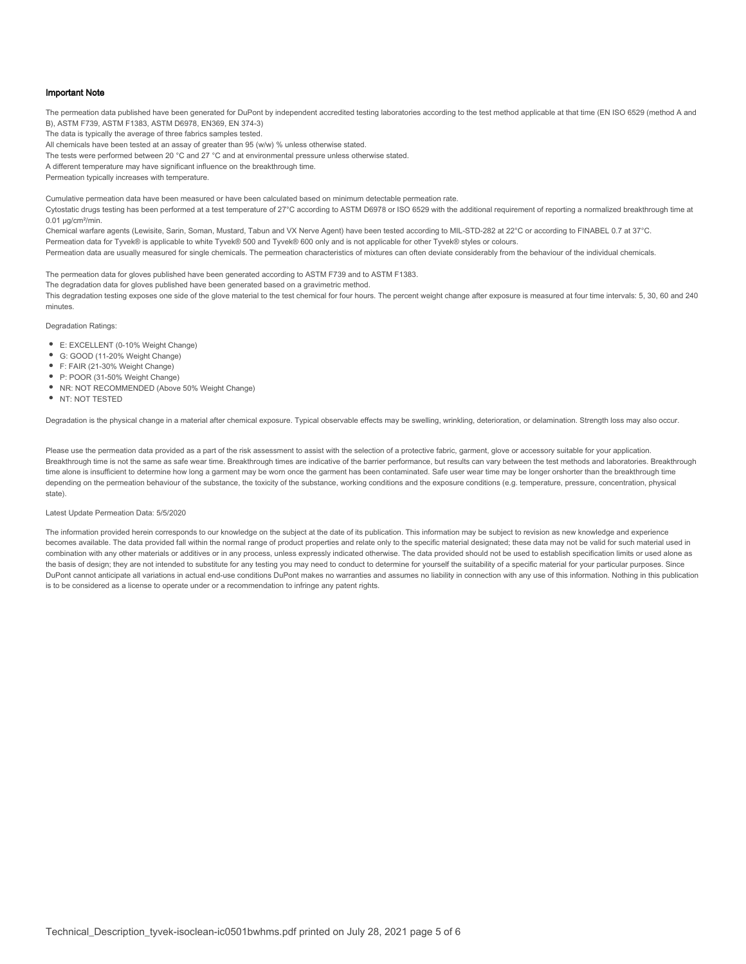#### Important Note

The permeation data published have been generated for DuPont by independent accredited testing laboratories according to the test method applicable at that time (EN ISO 6529 (method A and B), ASTM F739, ASTM F1383, ASTM D6978, EN369, EN 374-3)

The data is typically the average of three fabrics samples tested.

All chemicals have been tested at an assay of greater than 95 (w/w) % unless otherwise stated.

The tests were performed between 20 °C and 27 °C and at environmental pressure unless otherwise stated.

A different temperature may have significant influence on the breakthrough time.

Permeation typically increases with temperature.

Cumulative permeation data have been measured or have been calculated based on minimum detectable permeation rate. Cytostatic drugs testing has been performed at a test temperature of 27°C according to ASTM D6978 or ISO 6529 with the additional requirement of reporting a normalized breakthrough time at  $0.01$  ug/cm<sup>2</sup>/min.

Chemical warfare agents (Lewisite, Sarin, Soman, Mustard, Tabun and VX Nerve Agent) have been tested according to MIL-STD-282 at 22°C or according to FINABEL 0.7 at 37°C. Permeation data for Tyvek® is applicable to white Tyvek® 500 and Tyvek® 600 only and is not applicable for other Tyvek® styles or colours. Permeation data are usually measured for single chemicals. The permeation characteristics of mixtures can often deviate considerably from the behaviour of the individual chemicals.

The permeation data for gloves published have been generated according to ASTM F739 and to ASTM F1383.

The degradation data for gloves published have been generated based on a gravimetric method.

This degradation testing exposes one side of the glove material to the test chemical for four hours. The percent weight change after exposure is measured at four time intervals: 5, 30, 60 and 240 minutes.

Degradation Ratings:

- E: EXCELLENT (0-10% Weight Change)
- G: GOOD (11-20% Weight Change)
- F: FAIR (21-30% Weight Change)
- P: POOR (31-50% Weight Change)
- NR: NOT RECOMMENDED (Above 50% Weight Change)
- NT: NOT TESTED

Degradation is the physical change in a material after chemical exposure. Typical observable effects may be swelling, wrinkling, deterioration, or delamination. Strength loss may also occur.

Please use the permeation data provided as a part of the risk assessment to assist with the selection of a protective fabric, garment, glove or accessory suitable for your application. Breakthrough time is not the same as safe wear time. Breakthrough times are indicative of the barrier performance, but results can vary between the test methods and laboratories. Breakthrough time alone is insufficient to determine how long a garment may be worn once the garment has been contaminated. Safe user wear time may be longer orshorter than the breakthrough time depending on the permeation behaviour of the substance, the toxicity of the substance, working conditions and the exposure conditions (e.g. temperature, pressure, concentration, physical state).

#### Latest Update Permeation Data: 5/5/2020

The information provided herein corresponds to our knowledge on the subject at the date of its publication. This information may be subject to revision as new knowledge and experience becomes available. The data provided fall within the normal range of product properties and relate only to the specific material designated; these data may not be valid for such material used in combination with any other materials or additives or in any process, unless expressly indicated otherwise. The data provided should not be used to establish specification limits or used alone as the basis of design; they are not intended to substitute for any testing you may need to conduct to determine for yourself the suitability of a specific material for your particular purposes. Since DuPont cannot anticipate all variations in actual end-use conditions DuPont makes no warranties and assumes no liability in connection with any use of this information. Nothing in this publication is to be considered as a license to operate under or a recommendation to infringe any patent rights.